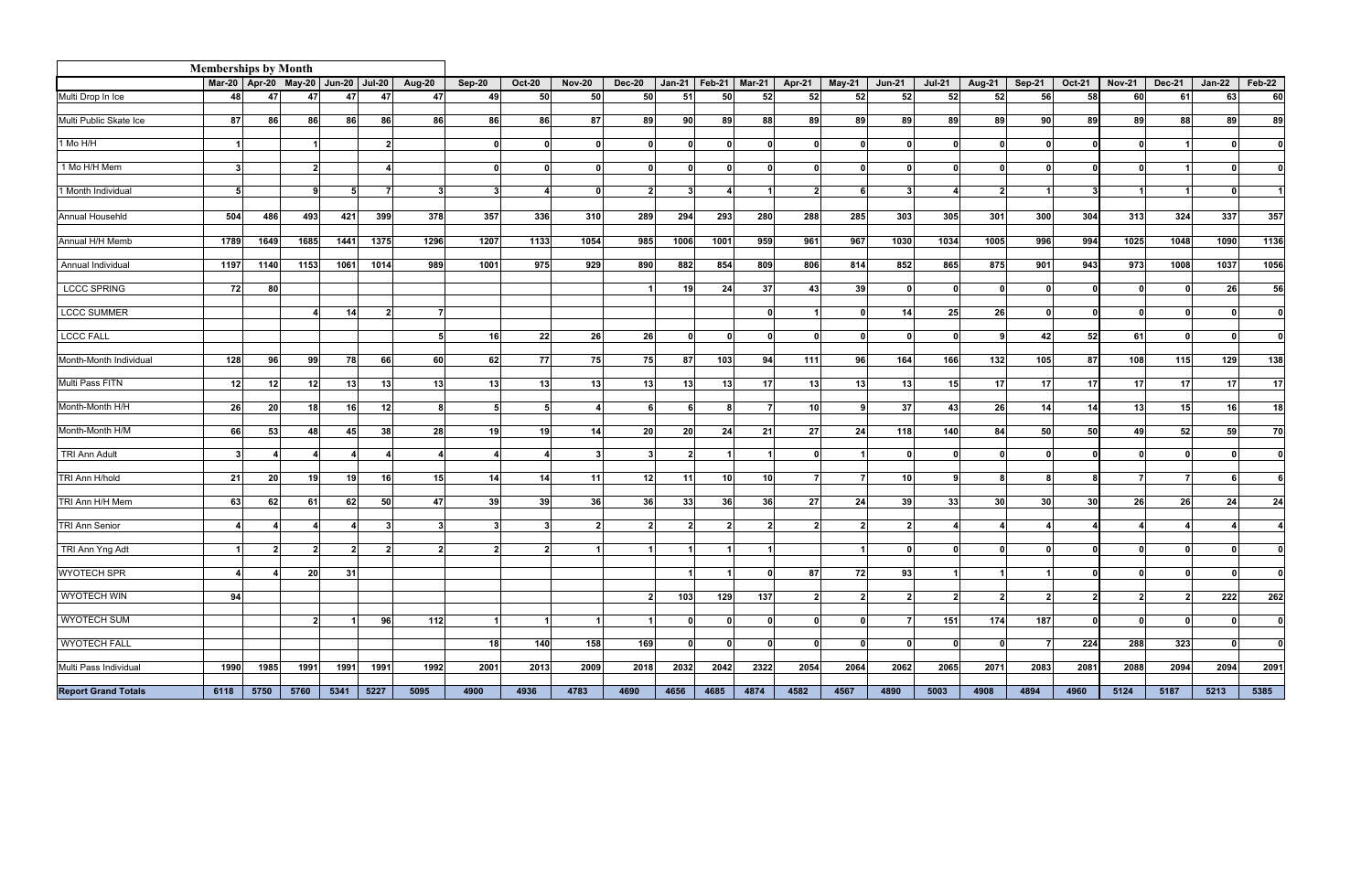| <b>Memberships by Month</b> |                      |                                          |      |      |                 |                 |          |                 |               |                 |                 |                 |                          |                 |                 |               |                |                 |                 |                 |               |                   |                 |        |
|-----------------------------|----------------------|------------------------------------------|------|------|-----------------|-----------------|----------|-----------------|---------------|-----------------|-----------------|-----------------|--------------------------|-----------------|-----------------|---------------|----------------|-----------------|-----------------|-----------------|---------------|-------------------|-----------------|--------|
|                             |                      | Mar-20   Apr-20 May-20   Jun-20   Jul-20 |      |      |                 | <b>Aug-20</b>   | Sep-20   | <b>Oct-20</b>   | <b>Nov-20</b> | <b>Dec-20</b>   |                 |                 | Jan-21   Feb-21   Mar-21 | <b>Apr-21</b>   | May-21          | <b>Jun-21</b> | <b>Jul-21</b>  | <b>Aug-21</b>   | $Sep-21$        | <b>Oct-21</b>   | <b>Nov-21</b> | <b>Dec-21</b>     | $Jan-22$        | Feb-22 |
| Multi Drop In Ice           | 48 I                 | 47                                       | 47   | 47   | 47              | 47              | 49       | 50              | 50            | 50              | 51              | <b>50</b>       | 52                       | 52              | <b>52I</b>      | 52            | 52             | 52              | 56              | 58              | 60            | 61                | 63              | 60     |
|                             |                      |                                          |      |      |                 |                 |          |                 |               |                 |                 |                 |                          |                 |                 |               |                |                 |                 |                 |               |                   |                 |        |
| Multi Public Skate Ice      | -87 I                | 86                                       | 86   | 86   | 86              | 86              | 86       | 86              | 87            | 89              | 90I             | -89 I           | 88                       | 89              | 89              | 89            | 89             | 89              | 90 <sup>1</sup> | 89              | 89            | 88                | 89              | 89     |
| 1 Mo H/H                    | $\blacktriangleleft$ |                                          |      |      | $\mathbf{2}$    |                 | $\Omega$ |                 |               | $\Omega$        | $\Omega$        | ΩI              |                          |                 |                 |               | $\Omega$       |                 |                 | $\Omega$        |               |                   |                 | ΩI     |
|                             |                      |                                          |      |      |                 |                 |          |                 |               |                 |                 |                 |                          |                 |                 |               |                |                 |                 |                 |               |                   |                 |        |
| 1 Mo H/H Mem                | $\mathbf{3}$         |                                          |      |      |                 |                 |          |                 |               | $\Omega$        | $\Omega$        | 0I              |                          |                 |                 |               | n              |                 |                 | n               |               |                   |                 | ΩI     |
|                             |                      |                                          | ٩    |      |                 |                 |          |                 |               |                 |                 |                 |                          |                 |                 |               |                |                 |                 |                 |               |                   |                 |        |
| 1 Month Individual          | -51                  |                                          |      |      |                 |                 |          |                 |               | $\mathbf{c}$    | 3               |                 |                          |                 |                 |               |                |                 |                 |                 |               |                   |                 |        |
| Annual Househld             | 504                  | 486                                      | 493  | 421  | 399             | 378             | 357      | 336             | 310           | 289             | 294             | 293             | 280                      | 288             | 285             | 303           | 305            | 301             | 300             | 304             | 313           | 324               | 337             | 357    |
|                             |                      |                                          |      |      |                 |                 |          |                 |               |                 |                 |                 |                          |                 |                 |               |                |                 |                 |                 |               |                   |                 |        |
| Annual H/H Memb             | 1789                 | 1649                                     | 1685 | 1441 | 1375            | 1296            | 1207     | 1133            | 1054          | 985             | 1006            | 1001            | 959                      | 961             | 967             | 1030          | 1034           | 1005            | 996             | 994             | 1025          | 1048              | 1090            | 1136   |
|                             |                      |                                          |      |      |                 |                 |          |                 |               |                 |                 |                 |                          |                 |                 |               |                |                 |                 |                 |               |                   |                 |        |
| Annual Individual           | 1197                 | 1140                                     | 1153 | 1061 | 1014            | 989             | 1001     | 975             | 929           | 890             | 882             | 854             | 809                      | 806             | 814             | 852           | 865            | 875             | 901             | 943             | 973           | 1008              | 1037            | 1056   |
| <b>LCCC SPRING</b>          | -72I                 | 80l                                      |      |      |                 |                 |          |                 |               |                 | 19 I            | 24 I            | -37 I                    | 43 <sub>1</sub> | -39             |               | - 0 I          | ∩               | $\Omega$        | n               |               |                   | <b>26</b>       | 56     |
|                             |                      |                                          |      |      |                 |                 |          |                 |               |                 |                 |                 |                          |                 |                 |               |                |                 |                 |                 |               |                   |                 |        |
| <b>LCCC SUMMER</b>          |                      |                                          |      | 14   | 2               | -71             |          |                 |               |                 |                 |                 | n                        |                 |                 | 14            | 25             | 26              | $\Omega$        | $\Omega$        |               |                   |                 | Οl     |
|                             |                      |                                          |      |      |                 |                 |          |                 |               |                 |                 |                 |                          |                 |                 |               |                |                 |                 |                 |               |                   |                 |        |
| <b>LCCC FALL</b>            |                      |                                          |      |      |                 |                 | 16       | 22              | 26            | <b>26</b>       | 0 I             | 0I              | n                        | n               |                 |               | $\Omega$       | $\mathbf{a}$    | 42              | 52 <sub>l</sub> | 61            | - 0               | $\Omega$        | ΩI     |
| Month-Month Individual      | 128                  | 96                                       | 99   | 78   | 66              | 60              | 62       | 77              | 75 I          | 75              | 87              | 103             | 94                       | 111             | <b>96</b>       | 164           | 166            | 132             | 105             | 87              | 108           | $\frac{115}{115}$ | 129             | 138    |
|                             |                      |                                          |      |      |                 |                 |          |                 |               |                 |                 |                 |                          |                 |                 |               |                |                 |                 |                 |               |                   |                 |        |
| Multi Pass FITN             | 12                   | 12                                       | 12   | 13   | 13              | 13              | 13       | 13              | 13            | 13              | 13 <sup>l</sup> | 13 <sup>l</sup> | 17 <sup>1</sup>          | 13              | 13 <sub>l</sub> | 13            | 15             | 17              | 17 <sup>1</sup> | 17 <sup>1</sup> | 17            | 17                | 17 <sup>1</sup> | 17     |
|                             |                      |                                          |      |      |                 |                 |          |                 |               |                 |                 |                 |                          |                 |                 |               |                |                 |                 |                 |               |                   |                 |        |
| Month-Month H/H             | 26                   | 20 <sub>l</sub>                          | 18   | 16   | 12              |                 | -51      |                 |               | -6              | ĥ               | 8               |                          | 10 <sup>1</sup> |                 | 37            | 43             | 26              | 14              | 14              | 13            | 15                | <b>16</b>       | 18     |
| Month-Month H/M             | <b>66</b>            | 53                                       | 48   | 45   | 38 <sup>l</sup> | 28              | 19       | 19              | 14            | 20 <sub>l</sub> | <b>20</b>       | 24              | 21                       | 27              | 24              | 118           | 140            | 84              | 50              | 50              | 49            | 52                | 59              | 70     |
|                             |                      |                                          |      |      |                 |                 |          |                 |               |                 |                 |                 |                          |                 |                 |               |                |                 |                 |                 |               |                   |                 |        |
| <b>TRI Ann Adult</b>        | $\mathbf{3}$         |                                          | 4    |      | 4               |                 |          |                 |               | $\mathbf{3}$    | $\mathbf{2}$    | 1               |                          |                 |                 |               | $\Omega$       | n               |                 | n               |               |                   |                 | ΩI     |
|                             |                      |                                          |      |      |                 |                 |          |                 |               |                 |                 |                 |                          |                 |                 |               |                |                 |                 |                 |               |                   |                 |        |
| TRI Ann H/hold              | 21                   | 20                                       | 19   | 19   | <b>16</b>       | 15 <sup>1</sup> | 14       | 14              | 11            | 12              | 11              | 10 <sup>1</sup> | <b>10</b>                |                 |                 | <b>10</b>     | 9              | я               |                 | 8               |               |                   |                 | 6      |
| TRI Ann H/H Mem             | 63                   | 62                                       | 61   | 62   | <b>50</b>       | 47              | 39       | 39 <sub>l</sub> | 36            | 36              | 33 <sup>1</sup> | <b>36</b>       | 36                       | 27              | 24              | -39           | 33             | 30 <sup>1</sup> | 30 <sub>l</sub> | 30 <sup>l</sup> | 26            | 26                | 24              | 24     |
|                             |                      |                                          |      |      |                 |                 |          |                 |               |                 |                 |                 |                          |                 |                 |               |                |                 |                 |                 |               |                   |                 |        |
| <b>TRI Ann Senior</b>       |                      |                                          |      |      |                 |                 |          |                 |               |                 |                 | 2               |                          |                 |                 |               |                |                 |                 |                 |               |                   |                 |        |
|                             |                      |                                          |      |      |                 |                 |          |                 |               |                 |                 |                 |                          |                 |                 |               |                |                 |                 |                 |               |                   |                 |        |
| TRI Ann Yng Adt             |                      |                                          |      |      |                 |                 |          |                 |               |                 |                 |                 |                          |                 |                 |               |                |                 |                 |                 |               |                   |                 |        |
| <b>WYOTECH SPR</b>          |                      |                                          | 20   | 31   |                 |                 |          |                 |               |                 | $\overline{1}$  | 11              | <sup>0</sup>             | 87              | 72              | 93            |                |                 |                 | $\mathbf{0}$    |               | n                 |                 | 0      |
|                             |                      |                                          |      |      |                 |                 |          |                 |               |                 |                 |                 |                          |                 |                 |               |                |                 |                 |                 |               |                   |                 |        |
| <b>WYOTECH WIN</b>          | 94                   |                                          |      |      |                 |                 |          |                 |               | $\overline{2}$  | 103             | 129             | 137                      | 2               |                 | 2             | $\overline{2}$ | 2               | 2               | $\mathbf{2}$    |               |                   | 222             | 262    |
|                             |                      |                                          |      |      |                 |                 |          |                 |               |                 |                 |                 |                          |                 |                 |               |                |                 |                 |                 |               |                   |                 |        |
| <b>WYOTECH SUM</b>          |                      |                                          | 2    |      | 96              | $112$           |          |                 |               |                 | $\mathbf{0}$    | $\Omega$        | O.                       | n               |                 |               | 151            | 174             | 187             | $\mathbf{0}$    |               |                   |                 | οI     |
| <b>WYOTECH FALL</b>         |                      |                                          |      |      |                 |                 | 18       | 140             | 158           | 169             | - 0 I           | $\Omega$        | O.                       |                 |                 |               | $\mathbf{0}$   | $\Omega$        | 7               | 224             | 288           | 323               | 0               | 0      |
|                             |                      |                                          |      |      |                 |                 |          |                 |               |                 |                 |                 |                          |                 |                 |               |                |                 |                 |                 |               |                   |                 |        |
| Multi Pass Individual       | 1990                 | 1985                                     | 1991 | 1991 | 1991            | 1992            | 2001     | 2013            | 2009          | 2018            | 2032            | 2042            | 2322                     | 2054            | 2064            | 2062          | 2065           | 2071            | 2083            | 2081            | 2088          | 2094              | 2094            | 2091   |
|                             |                      |                                          |      |      |                 |                 |          |                 |               |                 |                 |                 |                          |                 |                 |               |                |                 |                 |                 |               |                   |                 |        |
| <b>Report Grand Totals</b>  | 6118                 | 5750                                     | 5760 | 5341 | 5227            | 5095            | 4900     | 4936            | 4783          | 4690            | 4656            | 4685            | 4874                     | 4582            | 4567            | 4890          | 5003           | 4908            | 4894            | 4960            | 5124          | 5187              | 5213            | 5385   |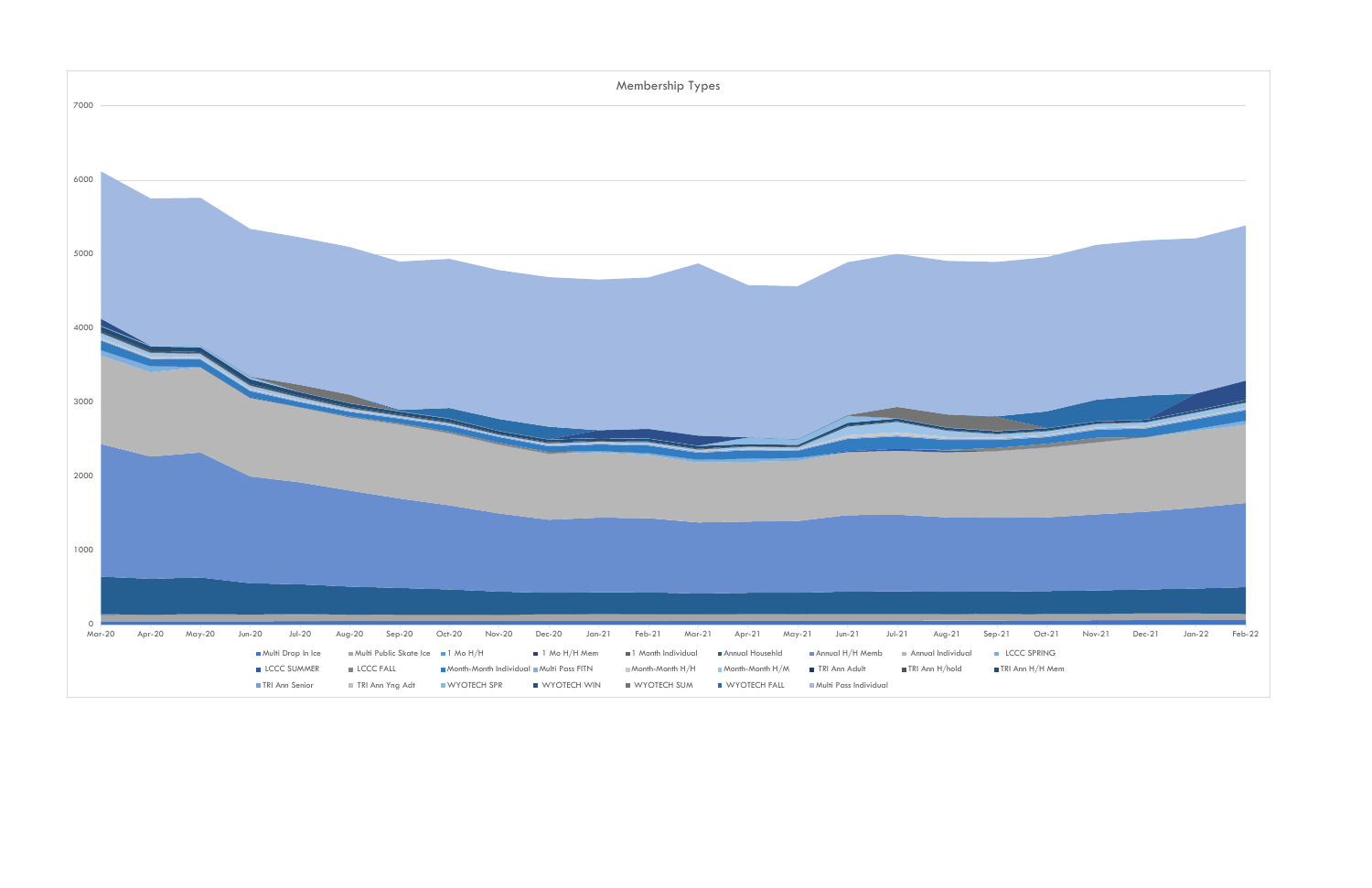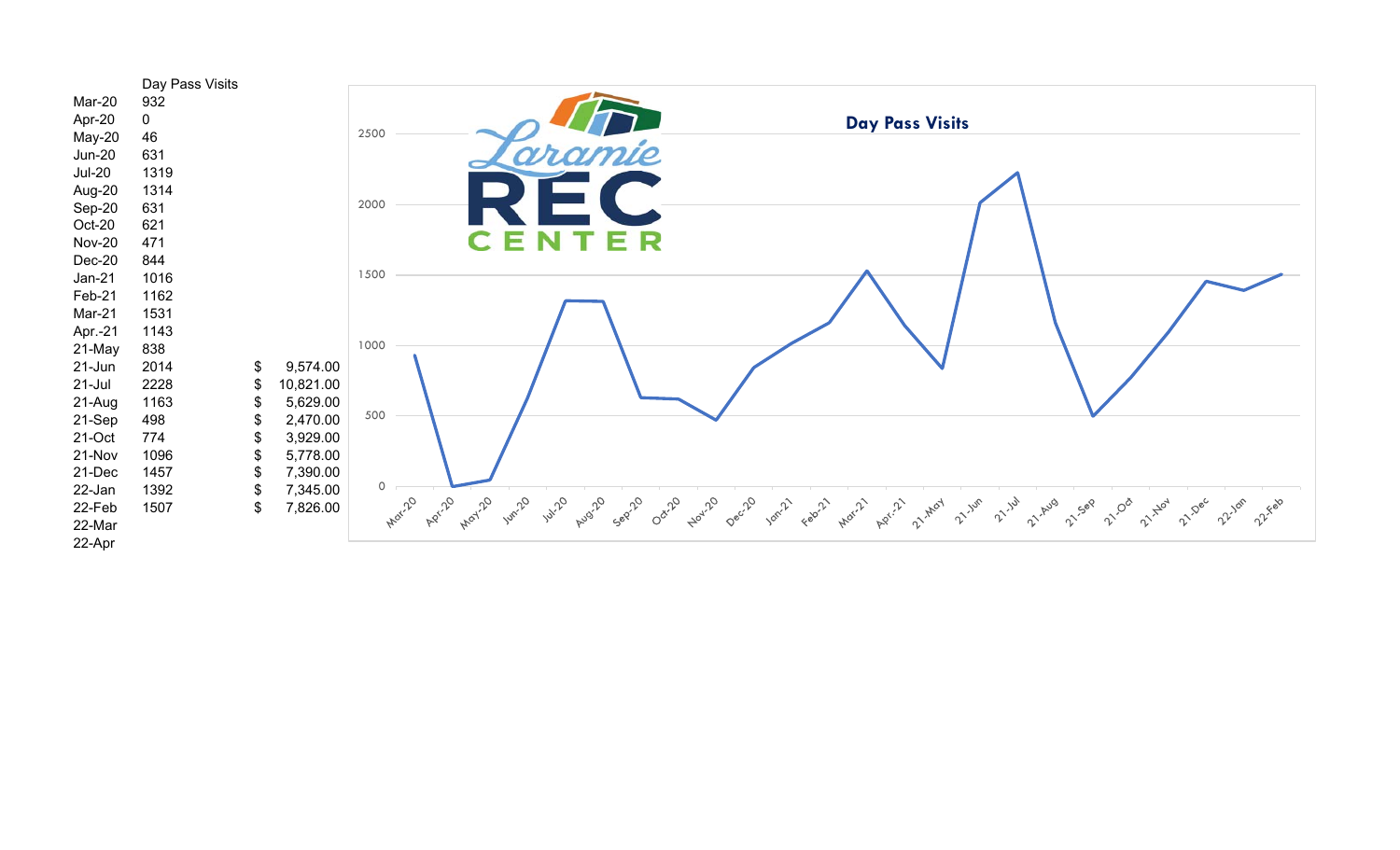